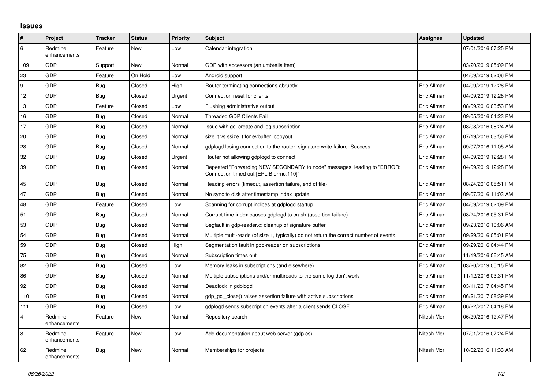## **Issues**

| #              | Project                 | <b>Tracker</b> | <b>Status</b> | Priority | <b>Subject</b>                                                                                                      | <b>Assignee</b> | <b>Updated</b>      |
|----------------|-------------------------|----------------|---------------|----------|---------------------------------------------------------------------------------------------------------------------|-----------------|---------------------|
| 6              | Redmine<br>enhancements | Feature        | New           | Low      | Calendar integration                                                                                                |                 | 07/01/2016 07:25 PM |
| 109            | GDP                     | Support        | New           | Normal   | GDP with accessors (an umbrella item)                                                                               |                 | 03/20/2019 05:09 PM |
| 23             | GDP                     | Feature        | On Hold       | Low      | Android support                                                                                                     |                 | 04/09/2019 02:06 PM |
| 9              | GDP                     | <b>Bug</b>     | Closed        | High     | Router terminating connections abruptly                                                                             | Eric Allman     | 04/09/2019 12:28 PM |
| 12             | GDP                     | <b>Bug</b>     | Closed        | Urgent   | Connection reset for clients                                                                                        | Eric Allman     | 04/09/2019 12:28 PM |
| 13             | GDP                     | Feature        | Closed        | Low      | Flushing administrative output                                                                                      | Eric Allman     | 08/09/2016 03:53 PM |
| 16             | GDP                     | <b>Bug</b>     | Closed        | Normal   | Threaded GDP Clients Fail                                                                                           | Eric Allman     | 09/05/2016 04:23 PM |
| 17             | GDP                     | <b>Bug</b>     | Closed        | Normal   | Issue with gcl-create and log subscription                                                                          | Eric Allman     | 08/08/2016 08:24 AM |
| 20             | GDP                     | <b>Bug</b>     | Closed        | Normal   | size_t vs ssize_t for evbuffer_copyout                                                                              | Eric Allman     | 07/19/2016 03:50 PM |
| 28             | GDP                     | <b>Bug</b>     | Closed        | Normal   | gdplogd losing connection to the router, signature write failure: Success                                           | Eric Allman     | 09/07/2016 11:05 AM |
| 32             | GDP                     | <b>Bug</b>     | Closed        | Urgent   | Router not allowing gdplogd to connect                                                                              | Eric Allman     | 04/09/2019 12:28 PM |
| 39             | GDP                     | <b>Bug</b>     | Closed        | Normal   | Repeated "Forwarding NEW SECONDARY to node" messages, leading to "ERROR:<br>Connection timed out [EPLIB:errno:110]" | Eric Allman     | 04/09/2019 12:28 PM |
| 45             | GDP                     | <b>Bug</b>     | Closed        | Normal   | Reading errors (timeout, assertion failure, end of file)                                                            | Eric Allman     | 08/24/2016 05:51 PM |
| 47             | GDP                     | Bug            | Closed        | Normal   | No sync to disk after timestamp index update                                                                        | Eric Allman     | 09/07/2016 11:03 AM |
| 48             | GDP                     | Feature        | Closed        | Low      | Scanning for corrupt indices at gdplogd startup                                                                     | Eric Allman     | 04/09/2019 02:09 PM |
| 51             | GDP                     | <b>Bug</b>     | Closed        | Normal   | Corrupt time-index causes gdplogd to crash (assertion failure)                                                      | Eric Allman     | 08/24/2016 05:31 PM |
| 53             | GDP                     | <b>Bug</b>     | Closed        | Normal   | Segfault in gdp-reader.c; cleanup of signature buffer                                                               | Eric Allman     | 09/23/2016 10:06 AM |
| 54             | GDP                     | <b>Bug</b>     | Closed        | Normal   | Multiple multi-reads (of size 1, typically) do not return the correct number of events.                             | Eric Allman     | 09/29/2016 05:01 PM |
| 59             | GDP                     | <b>Bug</b>     | Closed        | High     | Segmentation fault in gdp-reader on subscriptions                                                                   | Eric Allman     | 09/29/2016 04:44 PM |
| 75             | GDP                     | <b>Bug</b>     | Closed        | Normal   | Subscription times out                                                                                              | Eric Allman     | 11/19/2016 06:45 AM |
| 82             | GDP                     | <b>Bug</b>     | Closed        | Low      | Memory leaks in subscriptions (and elsewhere)                                                                       | Eric Allman     | 03/20/2019 05:15 PM |
| 86             | GDP                     | <b>Bug</b>     | Closed        | Normal   | Multiple subscriptions and/or multireads to the same log don't work                                                 | Eric Allman     | 11/12/2016 03:31 PM |
| 92             | GDP                     | Bug            | Closed        | Normal   | Deadlock in gdplogd                                                                                                 | Eric Allman     | 03/11/2017 04:45 PM |
| 110            | GDP                     | <b>Bug</b>     | Closed        | Normal   | gdp gcl close() raises assertion failure with active subscriptions                                                  | Eric Allman     | 06/21/2017 08:39 PM |
| 111            | GDP                     | <b>Bug</b>     | Closed        | Low      | gdplogd sends subscription events after a client sends CLOSE                                                        | Eric Allman     | 06/22/2017 04:18 PM |
| $\overline{4}$ | Redmine<br>enhancements | Feature        | New           | Normal   | Repository search                                                                                                   | Nitesh Mor      | 06/29/2016 12:47 PM |
| 8              | Redmine<br>enhancements | Feature        | New           | Low      | Add documentation about web-server (gdp.cs)                                                                         | Nitesh Mor      | 07/01/2016 07:24 PM |
| 62             | Redmine<br>enhancements | <b>Bug</b>     | New           | Normal   | Memberships for projects                                                                                            | Nitesh Mor      | 10/02/2016 11:33 AM |